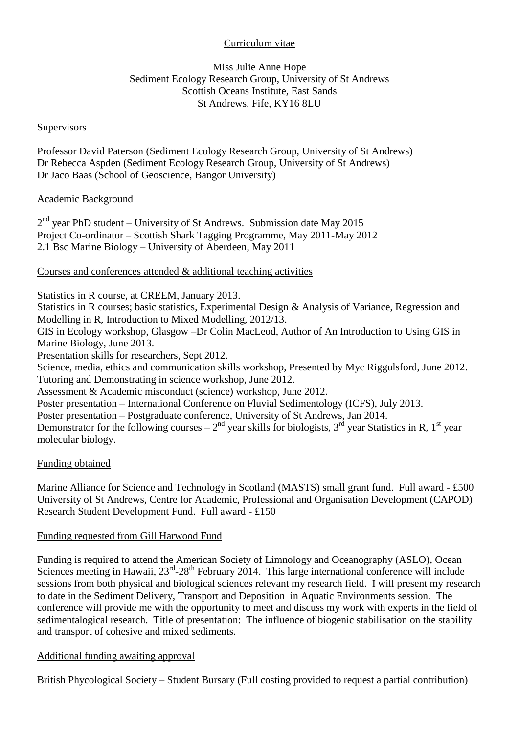# Curriculum vitae

## Miss Julie Anne Hope Sediment Ecology Research Group, University of St Andrews Scottish Oceans Institute, East Sands St Andrews, Fife, KY16 8LU

#### **Supervisors**

Professor David Paterson (Sediment Ecology Research Group, University of St Andrews) Dr Rebecca Aspden (Sediment Ecology Research Group, University of St Andrews) Dr Jaco Baas (School of Geoscience, Bangor University)

#### Academic Background

 $2<sup>nd</sup>$  year PhD student – University of St Andrews. Submission date May 2015 Project Co-ordinator – Scottish Shark Tagging Programme, May 2011-May 2012 2.1 Bsc Marine Biology – University of Aberdeen, May 2011

## Courses and conferences attended & additional teaching activities

Statistics in R course, at CREEM, January 2013.

Statistics in R courses; basic statistics, Experimental Design & Analysis of Variance, Regression and Modelling in R, Introduction to Mixed Modelling, 2012/13.

GIS in Ecology workshop, Glasgow –Dr Colin MacLeod, Author of An Introduction to Using GIS in Marine Biology, June 2013.

Presentation skills for researchers, Sept 2012.

Science, media, ethics and communication skills workshop, Presented by Myc Riggulsford, June 2012. Tutoring and Demonstrating in science workshop, June 2012.

Assessment & Academic misconduct (science) workshop, June 2012.

Poster presentation – International Conference on Fluvial Sedimentology (ICFS), July 2013.

Poster presentation – Postgraduate conference, University of St Andrews, Jan 2014.

Demonstrator for the following courses  $-2<sup>nd</sup>$  year skills for biologists, 3<sup>rd</sup> year Statistics in R, 1<sup>st</sup> year molecular biology.

#### Funding obtained

Marine Alliance for Science and Technology in Scotland (MASTS) small grant fund. Full award - £500 University of St Andrews, Centre for Academic, Professional and Organisation Development (CAPOD) Research Student Development Fund. Full award - £150

## Funding requested from Gill Harwood Fund

Funding is required to attend the American Society of Limnology and Oceanography (ASLO), Ocean Sciences meeting in Hawaii,  $23^{rd}$ -28<sup>th</sup> February 2014. This large international conference will include sessions from both physical and biological sciences relevant my research field. I will present my research to date in the Sediment Delivery, Transport and Deposition in Aquatic Environments session. The conference will provide me with the opportunity to meet and discuss my work with experts in the field of sedimentalogical research. Title of presentation: The influence of biogenic stabilisation on the stability and transport of cohesive and mixed sediments.

# Additional funding awaiting approval

British Phycological Society – Student Bursary (Full costing provided to request a partial contribution)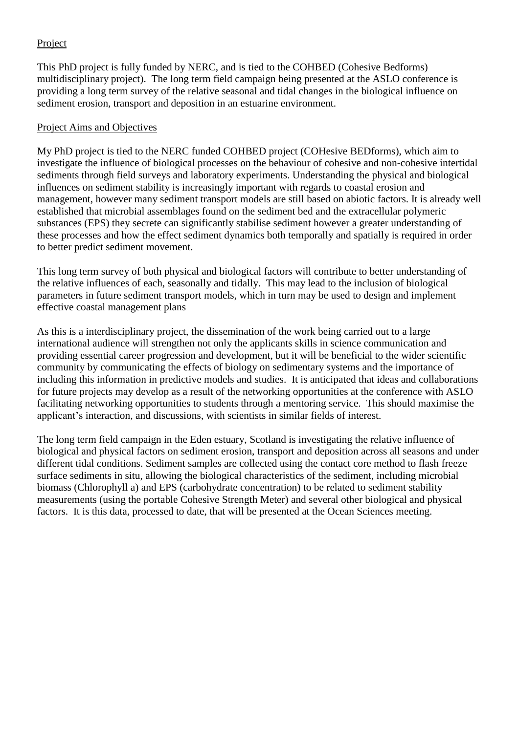# Project

This PhD project is fully funded by NERC, and is tied to the COHBED (Cohesive Bedforms) multidisciplinary project). The long term field campaign being presented at the ASLO conference is providing a long term survey of the relative seasonal and tidal changes in the biological influence on sediment erosion, transport and deposition in an estuarine environment.

#### Project Aims and Objectives

My PhD project is tied to the NERC funded COHBED project (COHesive BEDforms), which aim to investigate the influence of biological processes on the behaviour of cohesive and non-cohesive intertidal sediments through field surveys and laboratory experiments. Understanding the physical and biological influences on sediment stability is increasingly important with regards to coastal erosion and management, however many sediment transport models are still based on abiotic factors. It is already well established that microbial assemblages found on the sediment bed and the extracellular polymeric substances (EPS) they secrete can significantly stabilise sediment however a greater understanding of these processes and how the effect sediment dynamics both temporally and spatially is required in order to better predict sediment movement.

This long term survey of both physical and biological factors will contribute to better understanding of the relative influences of each, seasonally and tidally. This may lead to the inclusion of biological parameters in future sediment transport models, which in turn may be used to design and implement effective coastal management plans

As this is a interdisciplinary project, the dissemination of the work being carried out to a large international audience will strengthen not only the applicants skills in science communication and providing essential career progression and development, but it will be beneficial to the wider scientific community by communicating the effects of biology on sedimentary systems and the importance of including this information in predictive models and studies. It is anticipated that ideas and collaborations for future projects may develop as a result of the networking opportunities at the conference with ASLO facilitating networking opportunities to students through a mentoring service. This should maximise the applicant's interaction, and discussions, with scientists in similar fields of interest.

The long term field campaign in the Eden estuary, Scotland is investigating the relative influence of biological and physical factors on sediment erosion, transport and deposition across all seasons and under different tidal conditions. Sediment samples are collected using the contact core method to flash freeze surface sediments in situ, allowing the biological characteristics of the sediment, including microbial biomass (Chlorophyll a) and EPS (carbohydrate concentration) to be related to sediment stability measurements (using the portable Cohesive Strength Meter) and several other biological and physical factors. It is this data, processed to date, that will be presented at the Ocean Sciences meeting.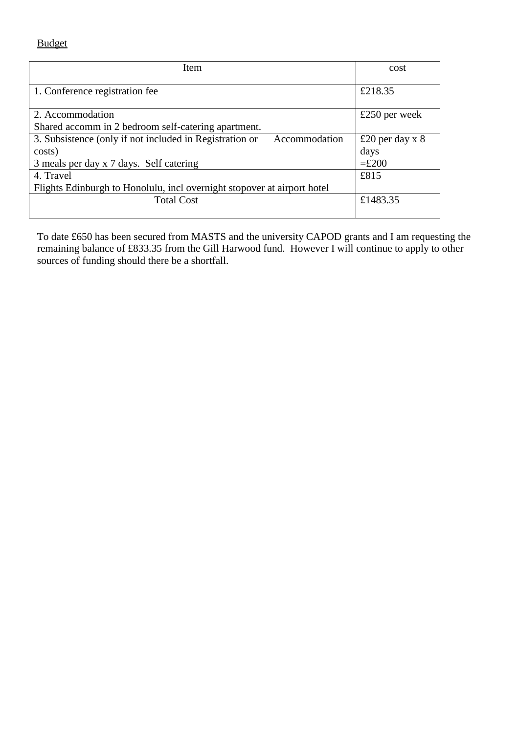Budget

| Item                                                                     | cost                 |
|--------------------------------------------------------------------------|----------------------|
| 1. Conference registration fee                                           | £218.35              |
| 2. Accommodation                                                         | £250 per week        |
| Shared accomm in 2 bedroom self-catering apartment.                      |                      |
| 3. Subsistence (only if not included in Registration or<br>Accommodation | £20 per day $x \, 8$ |
| costs)                                                                   | days                 |
| 3 meals per day x 7 days. Self catering                                  | $=£200$              |
| 4. Travel                                                                | £815                 |
| Flights Edinburgh to Honolulu, incl overnight stopover at airport hotel  |                      |
| <b>Total Cost</b>                                                        | £1483.35             |

To date £650 has been secured from MASTS and the university CAPOD grants and I am requesting the remaining balance of £833.35 from the Gill Harwood fund. However I will continue to apply to other sources of funding should there be a shortfall.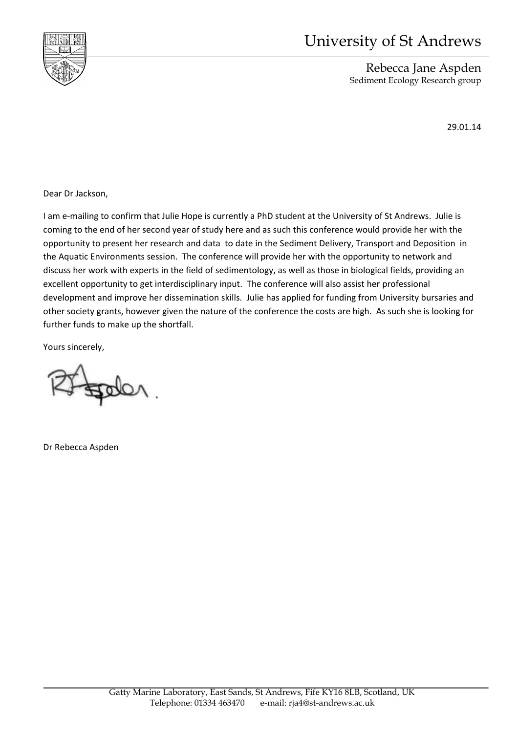

# University of St Andrews

Rebecca Jane Aspden Sediment Ecology Research group

29.01.14

Dear Dr Jackson,

I am e-mailing to confirm that Julie Hope is currently a PhD student at the University of St Andrews. Julie is coming to the end of her second year of study here and as such this conference would provide her with the opportunity to present her research and data to date in the Sediment Delivery, Transport and Deposition in the Aquatic Environments session. The conference will provide her with the opportunity to network and discuss her work with experts in the field of sedimentology, as well as those in biological fields, providing an excellent opportunity to get interdisciplinary input. The conference will also assist her professional development and improve her dissemination skills. Julie has applied for funding from University bursaries and other society grants, however given the nature of the conference the costs are high. As such she is looking for further funds to make up the shortfall.

Yours sincerely,

Dr Rebecca Aspden